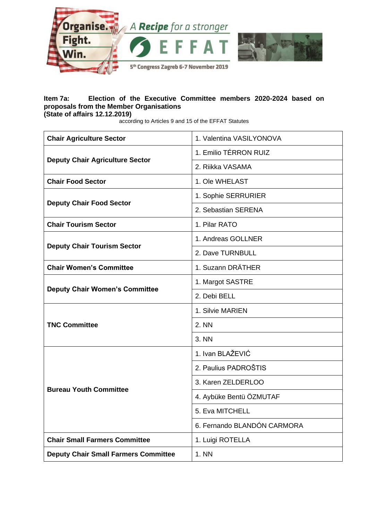

## **Item 7a: Election of the Executive Committee members 2020-2024 based on proposals from the Member Organisations (State of affairs 12.12.2019)**

according to Articles 9 and 15 of the EFFAT Statutes

| <b>Chair Agriculture Sector</b>             | 1. Valentina VASILYONOVA    |
|---------------------------------------------|-----------------------------|
| <b>Deputy Chair Agriculture Sector</b>      | 1. Emilio TÉRRON RUIZ       |
|                                             | 2. Riikka VASAMA            |
| <b>Chair Food Sector</b>                    | 1. Ole WHELAST              |
| <b>Deputy Chair Food Sector</b>             | 1. Sophie SERRURIER         |
|                                             | 2. Sebastian SERENA         |
| <b>Chair Tourism Sector</b>                 | 1. Pilar RATO               |
| <b>Deputy Chair Tourism Sector</b>          | 1. Andreas GOLLNER          |
|                                             | 2. Dave TURNBULL            |
| <b>Chair Women's Committee</b>              | 1. Suzann DRÄTHER           |
|                                             | 1. Margot SASTRE            |
| <b>Deputy Chair Women's Committee</b>       | 2. Debi BELL                |
| <b>TNC Committee</b>                        | 1. Silvie MARIEN            |
|                                             | 2. NN                       |
|                                             | 3. NN                       |
| <b>Bureau Youth Committee</b>               | 1. Ivan BLAŽEVIĆ            |
|                                             | 2. Paulius PADROŠTIS        |
|                                             | 3. Karen ZELDERLOO          |
|                                             | 4. Aybüke Bentü ÖZMUTAF     |
|                                             | 5. Eva MITCHELL             |
|                                             | 6. Fernando BLANDÓN CARMORA |
| <b>Chair Small Farmers Committee</b>        | 1. Luigi ROTELLA            |
| <b>Deputy Chair Small Farmers Committee</b> | 1. NN                       |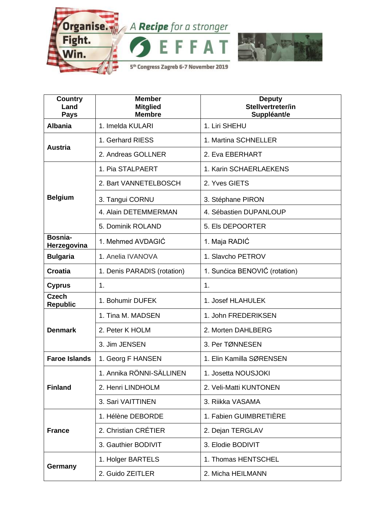

| <b>Country</b><br>Land<br><b>Pays</b> | <b>Member</b><br><b>Mitglied</b><br><b>Membre</b> | <b>Deputy</b><br>Stellvertreter/in<br>Suppléant/e |
|---------------------------------------|---------------------------------------------------|---------------------------------------------------|
| <b>Albania</b>                        | 1. Imelda KULARI                                  | 1. Liri SHEHU                                     |
| <b>Austria</b>                        | 1. Gerhard RIESS                                  | 1. Martina SCHNELLER                              |
|                                       | 2. Andreas GOLLNER                                | 2. Eva EBERHART                                   |
| <b>Belgium</b>                        | 1. Pia STALPAERT                                  | 1. Karin SCHAERLAEKENS                            |
|                                       | 2. Bart VANNETELBOSCH                             | 2. Yves GIETS                                     |
|                                       | 3. Tangui CORNU                                   | 3. Stéphane PIRON                                 |
|                                       | 4. Alain DETEMMERMAN                              | 4. Sébastien DUPANLOUP                            |
|                                       | 5. Dominik ROLAND                                 | 5. Els DEPOORTER                                  |
| Bosnia-<br>Herzegovina                | 1. Mehmed AVDAGIC                                 | 1. Maja RADIĆ                                     |
| <b>Bulgaria</b>                       | 1. Anelia IVANOVA                                 | 1. Slavcho PETROV                                 |
| <b>Croatia</b>                        | 1. Denis PARADIS (rotation)                       | 1. Sunćica BENOVIĆ (rotation)                     |
| <b>Cyprus</b>                         | 1.                                                | 1.                                                |
| <b>Czech</b><br><b>Republic</b>       | 1. Bohumir DUFEK                                  | 1. Josef HLAHULEK                                 |
|                                       | 1. Tina M. MADSEN                                 | 1. John FREDERIKSEN                               |
| <b>Denmark</b>                        | 2. Peter K HOLM                                   | 2. Morten DAHLBERG                                |
|                                       | 3. Jim JENSEN                                     | 3. Per TØNNESEN                                   |
| <b>Faroe Islands</b>                  | 1. Georg F HANSEN                                 | 1. Elin Kamilla SØRENSEN                          |
| <b>Finland</b>                        | 1. Annika RÖNNI-SÄLLINEN                          | 1. Josetta NOUSJOKI                               |
|                                       | 2. Henri LINDHOLM                                 | 2. Veli-Matti KUNTONEN                            |
|                                       | 3. Sari VAITTINEN                                 | 3. Riikka VASAMA                                  |
| <b>France</b>                         | 1. Hélène DEBORDE                                 | 1. Fabien GUIMBRETIÈRE                            |
|                                       | 2. Christian CRÉTIER                              | 2. Dejan TERGLAV                                  |
|                                       | 3. Gauthier BODIVIT                               | 3. Elodie BODIVIT                                 |
| Germany                               | 1. Holger BARTELS                                 | 1. Thomas HENTSCHEL                               |
|                                       | 2. Guido ZEITLER                                  | 2. Micha HEILMANN                                 |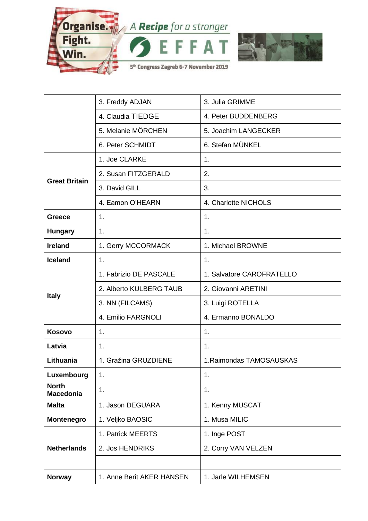

|                                  | 3. Freddy ADJAN           | 3. Julia GRIMME           |
|----------------------------------|---------------------------|---------------------------|
|                                  | 4. Claudia TIEDGE         | 4. Peter BUDDENBERG       |
|                                  | 5. Melanie MÖRCHEN        | 5. Joachim LANGECKER      |
|                                  | 6. Peter SCHMIDT          | 6. Stefan MÜNKEL          |
| <b>Great Britain</b>             | 1. Joe CLARKE             | 1.                        |
|                                  | 2. Susan FITZGERALD       | 2.                        |
|                                  | 3. David GILL             | 3.                        |
|                                  | 4. Eamon O'HEARN          | 4. Charlotte NICHOLS      |
| <b>Greece</b>                    | 1.                        | 1.                        |
| <b>Hungary</b>                   | 1.                        | 1.                        |
| <b>Ireland</b>                   | 1. Gerry MCCORMACK        | 1. Michael BROWNE         |
| <b>Iceland</b>                   | 1.                        | 1.                        |
|                                  | 1. Fabrizio DE PASCALE    | 1. Salvatore CAROFRATELLO |
|                                  | 2. Alberto KULBERG TAUB   | 2. Giovanni ARETINI       |
| <b>Italy</b>                     | 3. NN (FILCAMS)           | 3. Luigi ROTELLA          |
|                                  | 4. Emilio FARGNOLI        | 4. Ermanno BONALDO        |
| Kosovo                           | 1.                        | 1.                        |
| Latvia                           | 1.                        | 1.                        |
| Lithuania                        | 1. Gražina GRUZDIENE      | 1. Raimondas TAMOSAUSKAS  |
| Luxembourg                       | 1.                        | 1.                        |
| <b>North</b><br><b>Macedonia</b> | 1.                        | 1.                        |
| <b>Malta</b>                     | 1. Jason DEGUARA          | 1. Kenny MUSCAT           |
| <b>Montenegro</b>                | 1. Veljko BAOSIC          | 1. Musa MILIC             |
| <b>Netherlands</b>               | 1. Patrick MEERTS         | 1. Inge POST              |
|                                  | 2. Jos HENDRIKS           | 2. Corry VAN VELZEN       |
|                                  |                           |                           |
| <b>Norway</b>                    | 1. Anne Berit AKER HANSEN | 1. Jarle WILHEMSEN        |